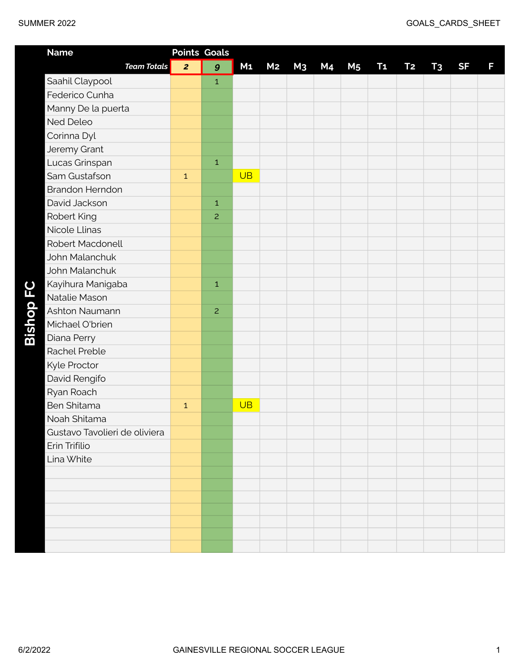| <b>Name</b>                   | <b>Points Goals</b> |                  |                |                |                |                |                |           |           |                |           |   |
|-------------------------------|---------------------|------------------|----------------|----------------|----------------|----------------|----------------|-----------|-----------|----------------|-----------|---|
| <b>Team Totals</b>            | $\overline{2}$      | $\boldsymbol{g}$ | M <sub>1</sub> | M <sub>2</sub> | M <sub>3</sub> | M <sub>4</sub> | M <sub>5</sub> | <b>T1</b> | <b>T2</b> | T <sub>3</sub> | <b>SF</b> | F |
| Saahil Claypool               |                     | $\mathbf{1}$     |                |                |                |                |                |           |           |                |           |   |
| Federico Cunha                |                     |                  |                |                |                |                |                |           |           |                |           |   |
| Manny De la puerta            |                     |                  |                |                |                |                |                |           |           |                |           |   |
| <b>Ned Deleo</b>              |                     |                  |                |                |                |                |                |           |           |                |           |   |
| Corinna Dyl                   |                     |                  |                |                |                |                |                |           |           |                |           |   |
| Jeremy Grant                  |                     |                  |                |                |                |                |                |           |           |                |           |   |
| Lucas Grinspan                |                     | $\mathbf 1$      |                |                |                |                |                |           |           |                |           |   |
| Sam Gustafson                 | $\mathbf 1$         |                  | <b>UB</b>      |                |                |                |                |           |           |                |           |   |
| <b>Brandon Herndon</b>        |                     |                  |                |                |                |                |                |           |           |                |           |   |
| David Jackson                 |                     | $\mathbf 1$      |                |                |                |                |                |           |           |                |           |   |
| Robert King                   |                     | $\overline{c}$   |                |                |                |                |                |           |           |                |           |   |
| Nicole Llinas                 |                     |                  |                |                |                |                |                |           |           |                |           |   |
| <b>Robert Macdonell</b>       |                     |                  |                |                |                |                |                |           |           |                |           |   |
| John Malanchuk                |                     |                  |                |                |                |                |                |           |           |                |           |   |
| John Malanchuk                |                     |                  |                |                |                |                |                |           |           |                |           |   |
| Kayihura Manigaba             |                     | $\mathbf{1}$     |                |                |                |                |                |           |           |                |           |   |
| Natalie Mason                 |                     |                  |                |                |                |                |                |           |           |                |           |   |
| Ashton Naumann                |                     | $\overline{c}$   |                |                |                |                |                |           |           |                |           |   |
| Michael O'brien               |                     |                  |                |                |                |                |                |           |           |                |           |   |
| Diana Perry                   |                     |                  |                |                |                |                |                |           |           |                |           |   |
| Rachel Preble                 |                     |                  |                |                |                |                |                |           |           |                |           |   |
| Kyle Proctor                  |                     |                  |                |                |                |                |                |           |           |                |           |   |
| David Rengifo                 |                     |                  |                |                |                |                |                |           |           |                |           |   |
| Ryan Roach                    |                     |                  |                |                |                |                |                |           |           |                |           |   |
| <b>Ben Shitama</b>            | $\mathbf 1$         |                  | <b>UB</b>      |                |                |                |                |           |           |                |           |   |
| Noah Shitama                  |                     |                  |                |                |                |                |                |           |           |                |           |   |
| Gustavo Tavolieri de oliviera |                     |                  |                |                |                |                |                |           |           |                |           |   |
| Erin Trifilio                 |                     |                  |                |                |                |                |                |           |           |                |           |   |
| Lina White                    |                     |                  |                |                |                |                |                |           |           |                |           |   |
|                               |                     |                  |                |                |                |                |                |           |           |                |           |   |
|                               |                     |                  |                |                |                |                |                |           |           |                |           |   |
|                               |                     |                  |                |                |                |                |                |           |           |                |           |   |
|                               |                     |                  |                |                |                |                |                |           |           |                |           |   |
|                               |                     |                  |                |                |                |                |                |           |           |                |           |   |
|                               |                     |                  |                |                |                |                |                |           |           |                |           |   |
|                               |                     |                  |                |                |                |                |                |           |           |                |           |   |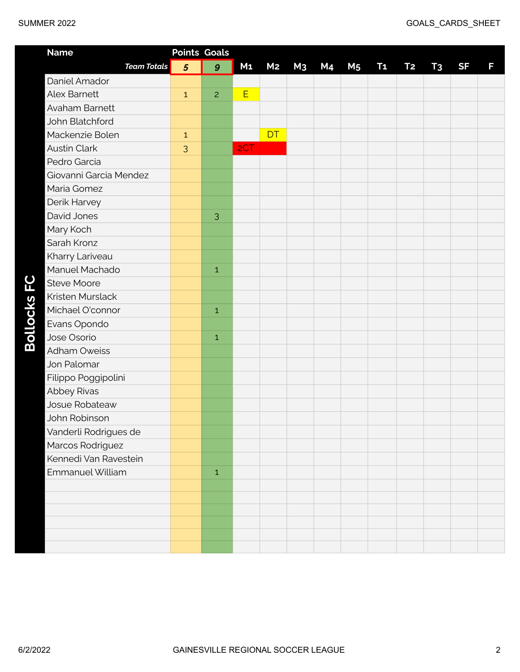| <b>SUMMER 2022</b>     |                |                     |                |                |                |    |                |           |           |                | GOALS_CARDS_SHEET |   |  |
|------------------------|----------------|---------------------|----------------|----------------|----------------|----|----------------|-----------|-----------|----------------|-------------------|---|--|
| <b>Name</b>            |                | <b>Points Goals</b> |                |                |                |    |                |           |           |                |                   |   |  |
| <b>Team Totals</b>     | $\overline{5}$ | $\boldsymbol{g}$    | M <sub>1</sub> | M <sub>2</sub> | M <sub>3</sub> | M4 | M <sub>5</sub> | <b>T1</b> | <b>T2</b> | T <sub>3</sub> | <b>SF</b>         | F |  |
| Daniel Amador          |                |                     |                |                |                |    |                |           |           |                |                   |   |  |
| <b>Alex Barnett</b>    | $\mathbf{1}$   | $\overline{c}$      | E              |                |                |    |                |           |           |                |                   |   |  |
| Avaham Barnett         |                |                     |                |                |                |    |                |           |           |                |                   |   |  |
| John Blatchford        |                |                     |                |                |                |    |                |           |           |                |                   |   |  |
| Mackenzie Bolen        | $\mathbf{1}$   |                     |                | <b>DT</b>      |                |    |                |           |           |                |                   |   |  |
| <b>Austin Clark</b>    | 3              |                     | 2CT            |                |                |    |                |           |           |                |                   |   |  |
| Pedro Garcia           |                |                     |                |                |                |    |                |           |           |                |                   |   |  |
| Giovanni Garcia Mendez |                |                     |                |                |                |    |                |           |           |                |                   |   |  |
| Maria Gomez            |                |                     |                |                |                |    |                |           |           |                |                   |   |  |
| Derik Harvey           |                |                     |                |                |                |    |                |           |           |                |                   |   |  |
| David Jones            |                | 3                   |                |                |                |    |                |           |           |                |                   |   |  |
| Mary Koch              |                |                     |                |                |                |    |                |           |           |                |                   |   |  |
| Sarah Kronz            |                |                     |                |                |                |    |                |           |           |                |                   |   |  |
| Kharry Lariveau        |                |                     |                |                |                |    |                |           |           |                |                   |   |  |
| Manuel Machado         |                | $\mathbf{1}$        |                |                |                |    |                |           |           |                |                   |   |  |
| <b>Steve Moore</b>     |                |                     |                |                |                |    |                |           |           |                |                   |   |  |
| Kristen Murslack       |                |                     |                |                |                |    |                |           |           |                |                   |   |  |
| Michael O'connor       |                | $\mathbf{1}$        |                |                |                |    |                |           |           |                |                   |   |  |
| Evans Opondo           |                |                     |                |                |                |    |                |           |           |                |                   |   |  |
| Jose Osorio            |                | $\mathbf{1}$        |                |                |                |    |                |           |           |                |                   |   |  |
| <b>Adham Oweiss</b>    |                |                     |                |                |                |    |                |           |           |                |                   |   |  |
| Jon Palomar            |                |                     |                |                |                |    |                |           |           |                |                   |   |  |

Filippo Poggipolini

Vanderli Rodrigues de Marcos Rodriguez Kennedi Van Ravestein

Emmanuel William **1** 1

Abbey Rivas Josue Robateaw John Robinson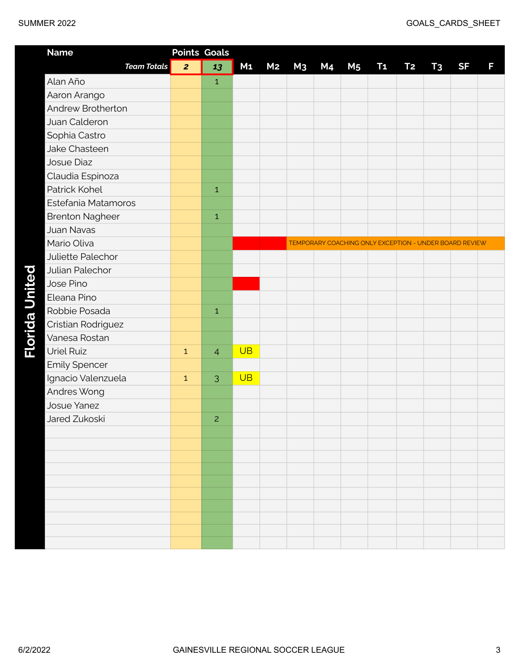| <b>Name</b>              | <b>Points Goals</b> |                |                |                |                |    |                |                                                        |           |                |           |   |
|--------------------------|---------------------|----------------|----------------|----------------|----------------|----|----------------|--------------------------------------------------------|-----------|----------------|-----------|---|
| <b>Team Totals</b>       | $\overline{2}$      | 13             | M <sub>1</sub> | M <sub>2</sub> | M <sub>3</sub> | M4 | M <sub>5</sub> | <b>T1</b>                                              | <b>T2</b> | T <sub>3</sub> | <b>SF</b> | F |
| Alan Año                 |                     | $\mathbf{1}$   |                |                |                |    |                |                                                        |           |                |           |   |
| Aaron Arango             |                     |                |                |                |                |    |                |                                                        |           |                |           |   |
| <b>Andrew Brotherton</b> |                     |                |                |                |                |    |                |                                                        |           |                |           |   |
| Juan Calderon            |                     |                |                |                |                |    |                |                                                        |           |                |           |   |
| Sophia Castro            |                     |                |                |                |                |    |                |                                                        |           |                |           |   |
| Jake Chasteen            |                     |                |                |                |                |    |                |                                                        |           |                |           |   |
| Josue Diaz               |                     |                |                |                |                |    |                |                                                        |           |                |           |   |
| Claudia Espinoza         |                     |                |                |                |                |    |                |                                                        |           |                |           |   |
| Patrick Kohel            |                     | $\mathbf 1$    |                |                |                |    |                |                                                        |           |                |           |   |
| Estefania Matamoros      |                     |                |                |                |                |    |                |                                                        |           |                |           |   |
| <b>Brenton Nagheer</b>   |                     | $\mathbf 1$    |                |                |                |    |                |                                                        |           |                |           |   |
| <b>Juan Navas</b>        |                     |                |                |                |                |    |                |                                                        |           |                |           |   |
| Mario Oliva              |                     |                |                |                |                |    |                | TEMPORARY COACHING ONLY EXCEPTION - UNDER BOARD REVIEW |           |                |           |   |
| Juliette Palechor        |                     |                |                |                |                |    |                |                                                        |           |                |           |   |
| Julian Palechor          |                     |                |                |                |                |    |                |                                                        |           |                |           |   |
| Jose Pino                |                     |                |                |                |                |    |                |                                                        |           |                |           |   |
| Eleana Pino              |                     |                |                |                |                |    |                |                                                        |           |                |           |   |
| Robbie Posada            |                     | $\mathbf{1}$   |                |                |                |    |                |                                                        |           |                |           |   |
| Cristian Rodriguez       |                     |                |                |                |                |    |                |                                                        |           |                |           |   |
| Vanesa Rostan            |                     |                |                |                |                |    |                |                                                        |           |                |           |   |
| <b>Uriel Ruiz</b>        | $\mathbf 1$         | $\overline{4}$ | <b>UB</b>      |                |                |    |                |                                                        |           |                |           |   |
| <b>Emily Spencer</b>     |                     |                |                |                |                |    |                |                                                        |           |                |           |   |
| Ignacio Valenzuela       | $\mathbf 1$         | 3              | <b>UB</b>      |                |                |    |                |                                                        |           |                |           |   |
| Andres Wong              |                     |                |                |                |                |    |                |                                                        |           |                |           |   |
| <b>Josue Yanez</b>       |                     |                |                |                |                |    |                |                                                        |           |                |           |   |
| Jared Zukoski            |                     | $\overline{c}$ |                |                |                |    |                |                                                        |           |                |           |   |
|                          |                     |                |                |                |                |    |                |                                                        |           |                |           |   |
|                          |                     |                |                |                |                |    |                |                                                        |           |                |           |   |
|                          |                     |                |                |                |                |    |                |                                                        |           |                |           |   |
|                          |                     |                |                |                |                |    |                |                                                        |           |                |           |   |
|                          |                     |                |                |                |                |    |                |                                                        |           |                |           |   |
|                          |                     |                |                |                |                |    |                |                                                        |           |                |           |   |
|                          |                     |                |                |                |                |    |                |                                                        |           |                |           |   |
|                          |                     |                |                |                |                |    |                |                                                        |           |                |           |   |
|                          |                     |                |                |                |                |    |                |                                                        |           |                |           |   |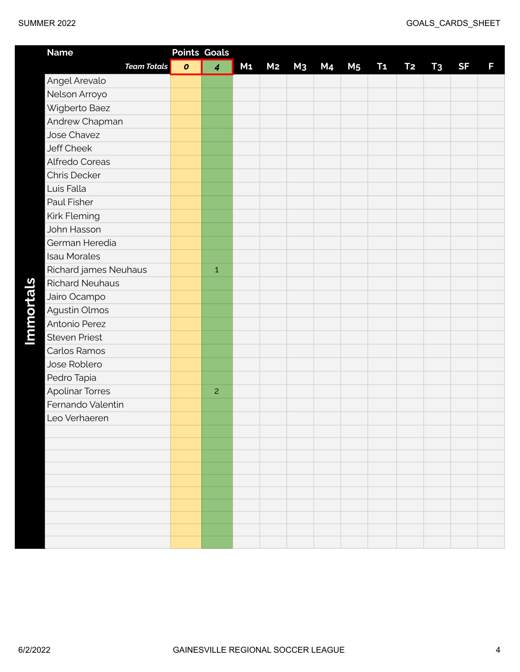| <b>Name</b>            |           | <b>Points Goals</b>     |                |                |                |    |                |                |           |                |           |   |
|------------------------|-----------|-------------------------|----------------|----------------|----------------|----|----------------|----------------|-----------|----------------|-----------|---|
| <b>Team Totals</b>     | $\pmb{o}$ | $\overline{\mathbf{4}}$ | M <sub>1</sub> | M <sub>2</sub> | M <sub>3</sub> | M4 | M <sub>5</sub> | T <sub>1</sub> | <b>T2</b> | T <sub>3</sub> | <b>SF</b> | F |
| Angel Arevalo          |           |                         |                |                |                |    |                |                |           |                |           |   |
| Nelson Arroyo          |           |                         |                |                |                |    |                |                |           |                |           |   |
| Wigberto Baez          |           |                         |                |                |                |    |                |                |           |                |           |   |
| Andrew Chapman         |           |                         |                |                |                |    |                |                |           |                |           |   |
| Jose Chavez            |           |                         |                |                |                |    |                |                |           |                |           |   |
| <b>Jeff Cheek</b>      |           |                         |                |                |                |    |                |                |           |                |           |   |
| Alfredo Coreas         |           |                         |                |                |                |    |                |                |           |                |           |   |
| Chris Decker           |           |                         |                |                |                |    |                |                |           |                |           |   |
| Luis Falla             |           |                         |                |                |                |    |                |                |           |                |           |   |
| Paul Fisher            |           |                         |                |                |                |    |                |                |           |                |           |   |
| Kirk Fleming           |           |                         |                |                |                |    |                |                |           |                |           |   |
| John Hasson            |           |                         |                |                |                |    |                |                |           |                |           |   |
| German Heredia         |           |                         |                |                |                |    |                |                |           |                |           |   |
| <b>Isau Morales</b>    |           |                         |                |                |                |    |                |                |           |                |           |   |
| Richard james Neuhaus  |           | $\,1\,$                 |                |                |                |    |                |                |           |                |           |   |
| <b>Richard Neuhaus</b> |           |                         |                |                |                |    |                |                |           |                |           |   |
| Jairo Ocampo           |           |                         |                |                |                |    |                |                |           |                |           |   |
| Agustin Olmos          |           |                         |                |                |                |    |                |                |           |                |           |   |
| Antonio Perez          |           |                         |                |                |                |    |                |                |           |                |           |   |
| <b>Steven Priest</b>   |           |                         |                |                |                |    |                |                |           |                |           |   |
| Carlos Ramos           |           |                         |                |                |                |    |                |                |           |                |           |   |
| Jose Roblero           |           |                         |                |                |                |    |                |                |           |                |           |   |
| Pedro Tapia            |           |                         |                |                |                |    |                |                |           |                |           |   |
| <b>Apolinar Torres</b> |           | 2                       |                |                |                |    |                |                |           |                |           |   |
| Fernando Valentin      |           |                         |                |                |                |    |                |                |           |                |           |   |
| Leo Verhaeren          |           |                         |                |                |                |    |                |                |           |                |           |   |
|                        |           |                         |                |                |                |    |                |                |           |                |           |   |
|                        |           |                         |                |                |                |    |                |                |           |                |           |   |
|                        |           |                         |                |                |                |    |                |                |           |                |           |   |
|                        |           |                         |                |                |                |    |                |                |           |                |           |   |
|                        |           |                         |                |                |                |    |                |                |           |                |           |   |
|                        |           |                         |                |                |                |    |                |                |           |                |           |   |
|                        |           |                         |                |                |                |    |                |                |           |                |           |   |
|                        |           |                         |                |                |                |    |                |                |           |                |           |   |
|                        |           |                         |                |                |                |    |                |                |           |                |           |   |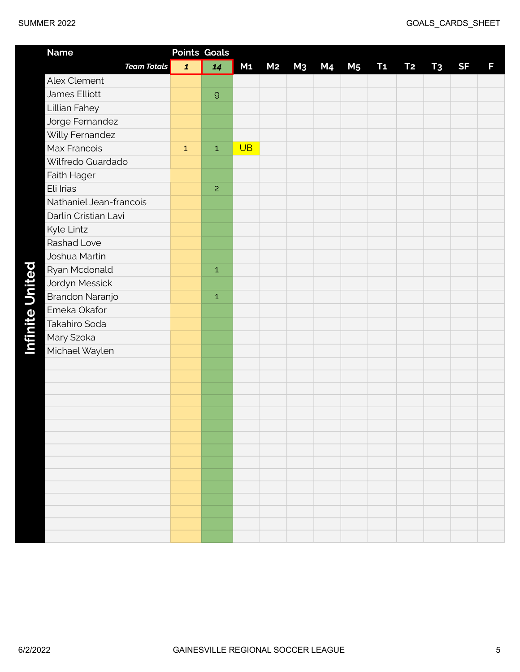| SUMMER 2022 |  |
|-------------|--|
|-------------|--|

| <b>Name</b>             | <b>Points Goals</b> |                |                |                |    |           |                |           |           |                |           |   |
|-------------------------|---------------------|----------------|----------------|----------------|----|-----------|----------------|-----------|-----------|----------------|-----------|---|
| <b>Team Totals</b>      | $\mathbf{1}$        | 14             | M <sub>1</sub> | M <sub>2</sub> | M3 | <b>M4</b> | M <sub>5</sub> | <b>T1</b> | <b>T2</b> | T <sub>3</sub> | <b>SF</b> | F |
| Alex Clement            |                     |                |                |                |    |           |                |           |           |                |           |   |
| James Elliott           |                     | $\mathsf{9}$   |                |                |    |           |                |           |           |                |           |   |
| Lillian Fahey           |                     |                |                |                |    |           |                |           |           |                |           |   |
| Jorge Fernandez         |                     |                |                |                |    |           |                |           |           |                |           |   |
| Willy Fernandez         |                     |                |                |                |    |           |                |           |           |                |           |   |
| Max Francois            | $\mathbf 1$         | $\,1\,$        | <b>UB</b>      |                |    |           |                |           |           |                |           |   |
| Wilfredo Guardado       |                     |                |                |                |    |           |                |           |           |                |           |   |
| Faith Hager             |                     |                |                |                |    |           |                |           |           |                |           |   |
| Eli Irias               |                     | $\overline{c}$ |                |                |    |           |                |           |           |                |           |   |
| Nathaniel Jean-francois |                     |                |                |                |    |           |                |           |           |                |           |   |
| Darlin Cristian Lavi    |                     |                |                |                |    |           |                |           |           |                |           |   |
| Kyle Lintz              |                     |                |                |                |    |           |                |           |           |                |           |   |
| <b>Rashad Love</b>      |                     |                |                |                |    |           |                |           |           |                |           |   |
| Joshua Martin           |                     |                |                |                |    |           |                |           |           |                |           |   |
| Ryan Mcdonald           |                     | $\mathbf 1$    |                |                |    |           |                |           |           |                |           |   |
| Jordyn Messick          |                     |                |                |                |    |           |                |           |           |                |           |   |
| Brandon Naranjo         |                     | $\,1\,$        |                |                |    |           |                |           |           |                |           |   |
| Emeka Okafor            |                     |                |                |                |    |           |                |           |           |                |           |   |
| Takahiro Soda           |                     |                |                |                |    |           |                |           |           |                |           |   |
| Mary Szoka              |                     |                |                |                |    |           |                |           |           |                |           |   |
| Michael Waylen          |                     |                |                |                |    |           |                |           |           |                |           |   |
|                         |                     |                |                |                |    |           |                |           |           |                |           |   |
|                         |                     |                |                |                |    |           |                |           |           |                |           |   |
|                         |                     |                |                |                |    |           |                |           |           |                |           |   |
|                         |                     |                |                |                |    |           |                |           |           |                |           |   |
|                         |                     |                |                |                |    |           |                |           |           |                |           |   |
|                         |                     |                |                |                |    |           |                |           |           |                |           |   |
|                         |                     |                |                |                |    |           |                |           |           |                |           |   |
|                         |                     |                |                |                |    |           |                |           |           |                |           |   |
|                         |                     |                |                |                |    |           |                |           |           |                |           |   |
|                         |                     |                |                |                |    |           |                |           |           |                |           |   |
|                         |                     |                |                |                |    |           |                |           |           |                |           |   |
|                         |                     |                |                |                |    |           |                |           |           |                |           |   |
|                         |                     |                |                |                |    |           |                |           |           |                |           |   |
|                         |                     |                |                |                |    |           |                |           |           |                |           |   |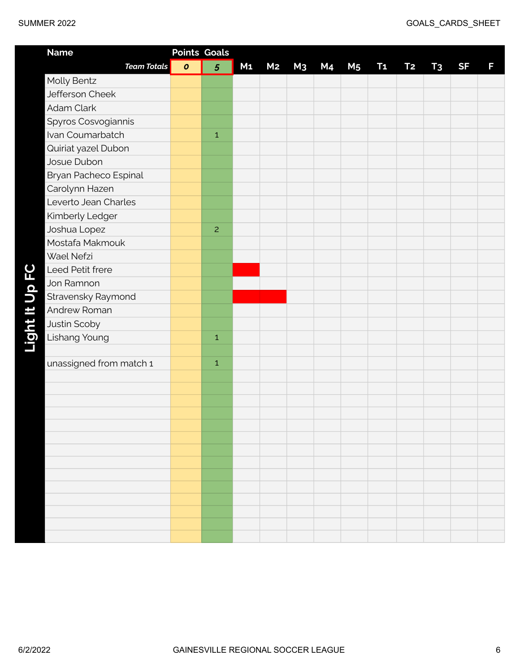| <b>Name</b>             |           | <b>Points Goals</b> |                |                |                |                |                |           |           |                |           |   |
|-------------------------|-----------|---------------------|----------------|----------------|----------------|----------------|----------------|-----------|-----------|----------------|-----------|---|
| <b>Team Totals</b>      | $\pmb{o}$ | 5                   | M <sub>1</sub> | M <sub>2</sub> | M <sub>3</sub> | M <sub>4</sub> | M <sub>5</sub> | <b>T1</b> | <b>T2</b> | T <sub>3</sub> | <b>SF</b> | F |
| Molly Bentz             |           |                     |                |                |                |                |                |           |           |                |           |   |
| Jefferson Cheek         |           |                     |                |                |                |                |                |           |           |                |           |   |
| Adam Clark              |           |                     |                |                |                |                |                |           |           |                |           |   |
| Spyros Cosvogiannis     |           |                     |                |                |                |                |                |           |           |                |           |   |
| Ivan Coumarbatch        |           | $\mathbf 1$         |                |                |                |                |                |           |           |                |           |   |
| Quiriat yazel Dubon     |           |                     |                |                |                |                |                |           |           |                |           |   |
| Josue Dubon             |           |                     |                |                |                |                |                |           |           |                |           |   |
| Bryan Pacheco Espinal   |           |                     |                |                |                |                |                |           |           |                |           |   |
| Carolynn Hazen          |           |                     |                |                |                |                |                |           |           |                |           |   |
| Leverto Jean Charles    |           |                     |                |                |                |                |                |           |           |                |           |   |
| Kimberly Ledger         |           |                     |                |                |                |                |                |           |           |                |           |   |
| Joshua Lopez            |           | $\overline{c}$      |                |                |                |                |                |           |           |                |           |   |
| Mostafa Makmouk         |           |                     |                |                |                |                |                |           |           |                |           |   |
| Wael Nefzi              |           |                     |                |                |                |                |                |           |           |                |           |   |
| Leed Petit frere        |           |                     |                |                |                |                |                |           |           |                |           |   |
| Jon Ramnon              |           |                     |                |                |                |                |                |           |           |                |           |   |
| Stravensky Raymond      |           |                     |                |                |                |                |                |           |           |                |           |   |
| Andrew Roman            |           |                     |                |                |                |                |                |           |           |                |           |   |
| Justin Scoby            |           |                     |                |                |                |                |                |           |           |                |           |   |
| Lishang Young           |           | $\mathbf 1$         |                |                |                |                |                |           |           |                |           |   |
|                         |           |                     |                |                |                |                |                |           |           |                |           |   |
| unassigned from match 1 |           | $\mathbf 1$         |                |                |                |                |                |           |           |                |           |   |
|                         |           |                     |                |                |                |                |                |           |           |                |           |   |
|                         |           |                     |                |                |                |                |                |           |           |                |           |   |
|                         |           |                     |                |                |                |                |                |           |           |                |           |   |
|                         |           |                     |                |                |                |                |                |           |           |                |           |   |
|                         |           |                     |                |                |                |                |                |           |           |                |           |   |
|                         |           |                     |                |                |                |                |                |           |           |                |           |   |
|                         |           |                     |                |                |                |                |                |           |           |                |           |   |
|                         |           |                     |                |                |                |                |                |           |           |                |           |   |
|                         |           |                     |                |                |                |                |                |           |           |                |           |   |
|                         |           |                     |                |                |                |                |                |           |           |                |           |   |
|                         |           |                     |                |                |                |                |                |           |           |                |           |   |
|                         |           |                     |                |                |                |                |                |           |           |                |           |   |
|                         |           |                     |                |                |                |                |                |           |           |                |           |   |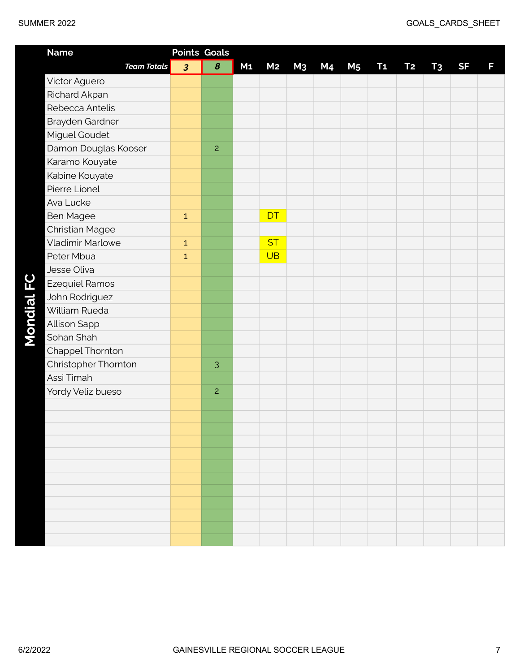| <b>Name</b>             |                         | <b>Points Goals</b> |                |                |                |           |                |                |           |                |           |   |
|-------------------------|-------------------------|---------------------|----------------|----------------|----------------|-----------|----------------|----------------|-----------|----------------|-----------|---|
| <b>Team Totals</b>      | $\overline{\mathbf{3}}$ | 8                   | M <sub>1</sub> | M <sub>2</sub> | M <sub>3</sub> | <b>M4</b> | M <sub>5</sub> | T <sub>1</sub> | <b>T2</b> | T <sub>3</sub> | <b>SF</b> | F |
| Victor Aguero           |                         |                     |                |                |                |           |                |                |           |                |           |   |
| Richard Akpan           |                         |                     |                |                |                |           |                |                |           |                |           |   |
| Rebecca Antelis         |                         |                     |                |                |                |           |                |                |           |                |           |   |
| Brayden Gardner         |                         |                     |                |                |                |           |                |                |           |                |           |   |
| Miguel Goudet           |                         |                     |                |                |                |           |                |                |           |                |           |   |
| Damon Douglas Kooser    |                         | $\overline{c}$      |                |                |                |           |                |                |           |                |           |   |
| Karamo Kouyate          |                         |                     |                |                |                |           |                |                |           |                |           |   |
| Kabine Kouyate          |                         |                     |                |                |                |           |                |                |           |                |           |   |
| Pierre Lionel           |                         |                     |                |                |                |           |                |                |           |                |           |   |
| Ava Lucke               |                         |                     |                |                |                |           |                |                |           |                |           |   |
| <b>Ben Magee</b>        | $\mathbf{1}$            |                     |                | DT             |                |           |                |                |           |                |           |   |
| <b>Christian Magee</b>  |                         |                     |                |                |                |           |                |                |           |                |           |   |
| <b>Vladimir Marlowe</b> | $\mathbf{1}$            |                     |                | <b>ST</b>      |                |           |                |                |           |                |           |   |
| Peter Mbua              | $\mathbf{1}$            |                     |                | <b>UB</b>      |                |           |                |                |           |                |           |   |
| Jesse Oliva             |                         |                     |                |                |                |           |                |                |           |                |           |   |
| <b>Ezequiel Ramos</b>   |                         |                     |                |                |                |           |                |                |           |                |           |   |
| John Rodriguez          |                         |                     |                |                |                |           |                |                |           |                |           |   |
| William Rueda           |                         |                     |                |                |                |           |                |                |           |                |           |   |
| Allison Sapp            |                         |                     |                |                |                |           |                |                |           |                |           |   |
| Sohan Shah              |                         |                     |                |                |                |           |                |                |           |                |           |   |
| Chappel Thornton        |                         |                     |                |                |                |           |                |                |           |                |           |   |
| Christopher Thornton    |                         | 3                   |                |                |                |           |                |                |           |                |           |   |
| Assi Timah              |                         |                     |                |                |                |           |                |                |           |                |           |   |
| Yordy Veliz bueso       |                         | $\overline{c}$      |                |                |                |           |                |                |           |                |           |   |
|                         |                         |                     |                |                |                |           |                |                |           |                |           |   |
|                         |                         |                     |                |                |                |           |                |                |           |                |           |   |
|                         |                         |                     |                |                |                |           |                |                |           |                |           |   |
|                         |                         |                     |                |                |                |           |                |                |           |                |           |   |
|                         |                         |                     |                |                |                |           |                |                |           |                |           |   |
|                         |                         |                     |                |                |                |           |                |                |           |                |           |   |
|                         |                         |                     |                |                |                |           |                |                |           |                |           |   |
|                         |                         |                     |                |                |                |           |                |                |           |                |           |   |
|                         |                         |                     |                |                |                |           |                |                |           |                |           |   |
|                         |                         |                     |                |                |                |           |                |                |           |                |           |   |
|                         |                         |                     |                |                |                |           |                |                |           |                |           |   |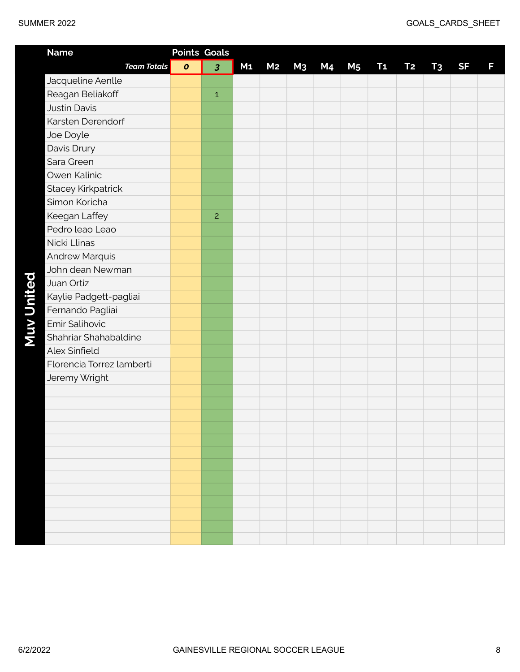| <b>Name</b>               | <b>Points Goals</b> |                |                |                |                |           |                |                |           |                |           |   |
|---------------------------|---------------------|----------------|----------------|----------------|----------------|-----------|----------------|----------------|-----------|----------------|-----------|---|
| <b>Team Totals</b>        | $\pmb{o}$           | 3              | M <sub>1</sub> | M <sub>2</sub> | M <sub>3</sub> | <b>M4</b> | M <sub>5</sub> | T <sub>1</sub> | <b>T2</b> | T <sub>3</sub> | <b>SF</b> | F |
| Jacqueline Aenlle         |                     |                |                |                |                |           |                |                |           |                |           |   |
| Reagan Beliakoff          |                     | $\mathbf{1}$   |                |                |                |           |                |                |           |                |           |   |
| <b>Justin Davis</b>       |                     |                |                |                |                |           |                |                |           |                |           |   |
| Karsten Derendorf         |                     |                |                |                |                |           |                |                |           |                |           |   |
| Joe Doyle                 |                     |                |                |                |                |           |                |                |           |                |           |   |
| Davis Drury               |                     |                |                |                |                |           |                |                |           |                |           |   |
| Sara Green                |                     |                |                |                |                |           |                |                |           |                |           |   |
| Owen Kalinic              |                     |                |                |                |                |           |                |                |           |                |           |   |
| <b>Stacey Kirkpatrick</b> |                     |                |                |                |                |           |                |                |           |                |           |   |
| Simon Koricha             |                     |                |                |                |                |           |                |                |           |                |           |   |
| Keegan Laffey             |                     | $\overline{c}$ |                |                |                |           |                |                |           |                |           |   |
| Pedro leao Leao           |                     |                |                |                |                |           |                |                |           |                |           |   |
| Nicki Llinas              |                     |                |                |                |                |           |                |                |           |                |           |   |
| <b>Andrew Marquis</b>     |                     |                |                |                |                |           |                |                |           |                |           |   |
| John dean Newman          |                     |                |                |                |                |           |                |                |           |                |           |   |
| Juan Ortiz                |                     |                |                |                |                |           |                |                |           |                |           |   |
| Kaylie Padgett-pagliai    |                     |                |                |                |                |           |                |                |           |                |           |   |
| Fernando Pagliai          |                     |                |                |                |                |           |                |                |           |                |           |   |
| Emir Salihovic            |                     |                |                |                |                |           |                |                |           |                |           |   |
| Shahriar Shahabaldine     |                     |                |                |                |                |           |                |                |           |                |           |   |
| Alex Sinfield             |                     |                |                |                |                |           |                |                |           |                |           |   |
| Florencia Torrez lamberti |                     |                |                |                |                |           |                |                |           |                |           |   |
| Jeremy Wright             |                     |                |                |                |                |           |                |                |           |                |           |   |
|                           |                     |                |                |                |                |           |                |                |           |                |           |   |
|                           |                     |                |                |                |                |           |                |                |           |                |           |   |
|                           |                     |                |                |                |                |           |                |                |           |                |           |   |
|                           |                     |                |                |                |                |           |                |                |           |                |           |   |
|                           |                     |                |                |                |                |           |                |                |           |                |           |   |
|                           |                     |                |                |                |                |           |                |                |           |                |           |   |
|                           |                     |                |                |                |                |           |                |                |           |                |           |   |
|                           |                     |                |                |                |                |           |                |                |           |                |           |   |
|                           |                     |                |                |                |                |           |                |                |           |                |           |   |
|                           |                     |                |                |                |                |           |                |                |           |                |           |   |
|                           |                     |                |                |                |                |           |                |                |           |                |           |   |
|                           |                     |                |                |                |                |           |                |                |           |                |           |   |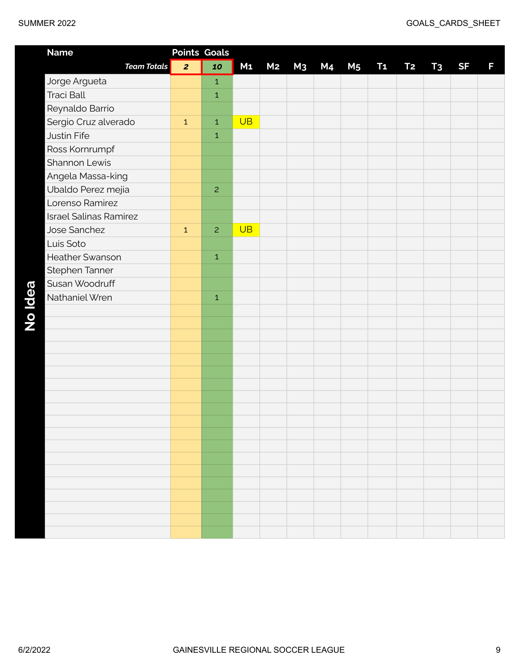| <b>Name</b>                   |                | <b>Points Goals</b> |                |                |                |                |                |           |                |                |           |   |
|-------------------------------|----------------|---------------------|----------------|----------------|----------------|----------------|----------------|-----------|----------------|----------------|-----------|---|
| <b>Team Totals</b>            | $\overline{2}$ | 10                  | M <sub>1</sub> | M <sub>2</sub> | M <sub>3</sub> | M <sub>4</sub> | M <sub>5</sub> | <b>T1</b> | T <sub>2</sub> | T <sub>3</sub> | <b>SF</b> | F |
| Jorge Argueta                 |                | $\mathbf 1$         |                |                |                |                |                |           |                |                |           |   |
| <b>Traci Ball</b>             |                | $\mathbf 1$         |                |                |                |                |                |           |                |                |           |   |
| Reynaldo Barrio               |                |                     |                |                |                |                |                |           |                |                |           |   |
| Sergio Cruz alverado          | $\mathbf{1}$   | $\mathbf{1}$        | UB             |                |                |                |                |           |                |                |           |   |
| Justin Fife                   |                | $\mathbf 1$         |                |                |                |                |                |           |                |                |           |   |
| Ross Kornrumpf                |                |                     |                |                |                |                |                |           |                |                |           |   |
| Shannon Lewis                 |                |                     |                |                |                |                |                |           |                |                |           |   |
| Angela Massa-king             |                |                     |                |                |                |                |                |           |                |                |           |   |
| Ubaldo Perez mejia            |                | $\overline{c}$      |                |                |                |                |                |           |                |                |           |   |
| Lorenso Ramirez               |                |                     |                |                |                |                |                |           |                |                |           |   |
| <b>Israel Salinas Ramirez</b> |                |                     |                |                |                |                |                |           |                |                |           |   |
| Jose Sanchez                  | $\mathbf{1}$   | $\overline{c}$      | <b>UB</b>      |                |                |                |                |           |                |                |           |   |
| Luis Soto                     |                |                     |                |                |                |                |                |           |                |                |           |   |
| <b>Heather Swanson</b>        |                | $\mathbf 1$         |                |                |                |                |                |           |                |                |           |   |
| Stephen Tanner                |                |                     |                |                |                |                |                |           |                |                |           |   |
| Susan Woodruff                |                |                     |                |                |                |                |                |           |                |                |           |   |
| Nathaniel Wren                |                | $\mathbf 1$         |                |                |                |                |                |           |                |                |           |   |
|                               |                |                     |                |                |                |                |                |           |                |                |           |   |
|                               |                |                     |                |                |                |                |                |           |                |                |           |   |
|                               |                |                     |                |                |                |                |                |           |                |                |           |   |
|                               |                |                     |                |                |                |                |                |           |                |                |           |   |
|                               |                |                     |                |                |                |                |                |           |                |                |           |   |
|                               |                |                     |                |                |                |                |                |           |                |                |           |   |
|                               |                |                     |                |                |                |                |                |           |                |                |           |   |
|                               |                |                     |                |                |                |                |                |           |                |                |           |   |
|                               |                |                     |                |                |                |                |                |           |                |                |           |   |
|                               |                |                     |                |                |                |                |                |           |                |                |           |   |
|                               |                |                     |                |                |                |                |                |           |                |                |           |   |
|                               |                |                     |                |                |                |                |                |           |                |                |           |   |
|                               |                |                     |                |                |                |                |                |           |                |                |           |   |
|                               |                |                     |                |                |                |                |                |           |                |                |           |   |
|                               |                |                     |                |                |                |                |                |           |                |                |           |   |
|                               |                |                     |                |                |                |                |                |           |                |                |           |   |
|                               |                |                     |                |                |                |                |                |           |                |                |           |   |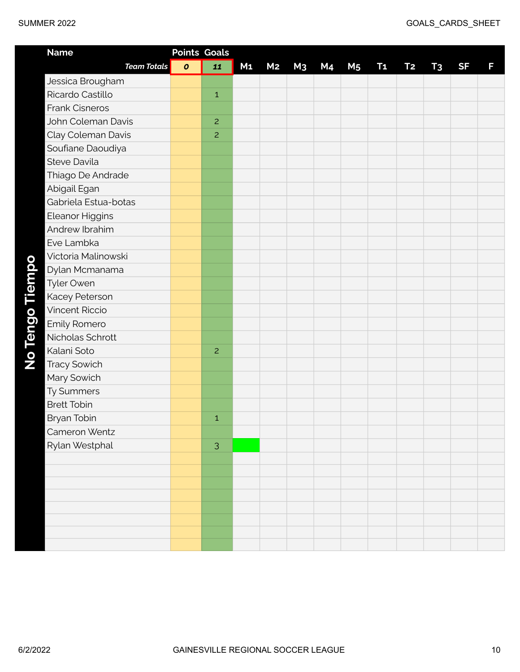|  |  |  | SUMMER 2022 |
|--|--|--|-------------|
|--|--|--|-------------|

| <b>Name</b>            | <b>Points Goals</b> |                |                |                |                |           |                |                |                |                |           |   |
|------------------------|---------------------|----------------|----------------|----------------|----------------|-----------|----------------|----------------|----------------|----------------|-----------|---|
| <b>Team Totals</b>     | $\boldsymbol{o}$    | 11             | M <sub>1</sub> | M <sub>2</sub> | M <sub>3</sub> | <b>M4</b> | M <sub>5</sub> | T <sub>1</sub> | T <sub>2</sub> | T <sub>3</sub> | <b>SF</b> | F |
| Jessica Brougham       |                     |                |                |                |                |           |                |                |                |                |           |   |
| Ricardo Castillo       |                     | $\mathbf 1$    |                |                |                |           |                |                |                |                |           |   |
| <b>Frank Cisneros</b>  |                     |                |                |                |                |           |                |                |                |                |           |   |
| John Coleman Davis     |                     | $\overline{c}$ |                |                |                |           |                |                |                |                |           |   |
| Clay Coleman Davis     |                     | $\overline{c}$ |                |                |                |           |                |                |                |                |           |   |
| Soufiane Daoudiya      |                     |                |                |                |                |           |                |                |                |                |           |   |
| Steve Davila           |                     |                |                |                |                |           |                |                |                |                |           |   |
| Thiago De Andrade      |                     |                |                |                |                |           |                |                |                |                |           |   |
| Abigail Egan           |                     |                |                |                |                |           |                |                |                |                |           |   |
| Gabriela Estua-botas   |                     |                |                |                |                |           |                |                |                |                |           |   |
| <b>Eleanor Higgins</b> |                     |                |                |                |                |           |                |                |                |                |           |   |
| Andrew Ibrahim         |                     |                |                |                |                |           |                |                |                |                |           |   |
| Eve Lambka             |                     |                |                |                |                |           |                |                |                |                |           |   |
| Victoria Malinowski    |                     |                |                |                |                |           |                |                |                |                |           |   |
| Dylan Mcmanama         |                     |                |                |                |                |           |                |                |                |                |           |   |
| Tyler Owen             |                     |                |                |                |                |           |                |                |                |                |           |   |
| Kacey Peterson         |                     |                |                |                |                |           |                |                |                |                |           |   |
| <b>Vincent Riccio</b>  |                     |                |                |                |                |           |                |                |                |                |           |   |
| Emily Romero           |                     |                |                |                |                |           |                |                |                |                |           |   |
| Nicholas Schrott       |                     |                |                |                |                |           |                |                |                |                |           |   |
| Kalani Soto            |                     | $\overline{c}$ |                |                |                |           |                |                |                |                |           |   |
| <b>Tracy Sowich</b>    |                     |                |                |                |                |           |                |                |                |                |           |   |
| Mary Sowich            |                     |                |                |                |                |           |                |                |                |                |           |   |
| Ty Summers             |                     |                |                |                |                |           |                |                |                |                |           |   |
| <b>Brett Tobin</b>     |                     |                |                |                |                |           |                |                |                |                |           |   |
| Bryan Tobin            |                     | $\mathbf 1$    |                |                |                |           |                |                |                |                |           |   |
| Cameron Wentz          |                     |                |                |                |                |           |                |                |                |                |           |   |
| Rylan Westphal         |                     | 3              |                |                |                |           |                |                |                |                |           |   |
|                        |                     |                |                |                |                |           |                |                |                |                |           |   |
|                        |                     |                |                |                |                |           |                |                |                |                |           |   |
|                        |                     |                |                |                |                |           |                |                |                |                |           |   |
|                        |                     |                |                |                |                |           |                |                |                |                |           |   |
|                        |                     |                |                |                |                |           |                |                |                |                |           |   |
|                        |                     |                |                |                |                |           |                |                |                |                |           |   |
|                        |                     |                |                |                |                |           |                |                |                |                |           |   |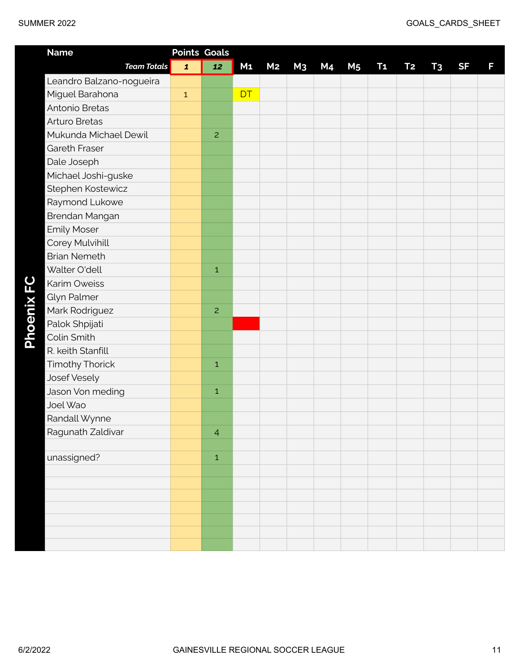| <b>Name</b>              | <b>Points Goals</b> |                |                |                |                |    |                |                |                |                |           |   |
|--------------------------|---------------------|----------------|----------------|----------------|----------------|----|----------------|----------------|----------------|----------------|-----------|---|
| <b>Team Totals</b>       | $\mathbf{1}$        | 12             | M <sub>1</sub> | M <sub>2</sub> | M <sub>3</sub> | M4 | M <sub>5</sub> | T <sub>1</sub> | T <sub>2</sub> | T <sub>3</sub> | <b>SF</b> | F |
| Leandro Balzano-nogueira |                     |                |                |                |                |    |                |                |                |                |           |   |
| Miguel Barahona          | $\mathbf{1}$        |                | <b>DT</b>      |                |                |    |                |                |                |                |           |   |
| Antonio Bretas           |                     |                |                |                |                |    |                |                |                |                |           |   |
| <b>Arturo Bretas</b>     |                     |                |                |                |                |    |                |                |                |                |           |   |
| Mukunda Michael Dewil    |                     | $\overline{c}$ |                |                |                |    |                |                |                |                |           |   |
| Gareth Fraser            |                     |                |                |                |                |    |                |                |                |                |           |   |
| Dale Joseph              |                     |                |                |                |                |    |                |                |                |                |           |   |
| Michael Joshi-guske      |                     |                |                |                |                |    |                |                |                |                |           |   |
| Stephen Kostewicz        |                     |                |                |                |                |    |                |                |                |                |           |   |
| Raymond Lukowe           |                     |                |                |                |                |    |                |                |                |                |           |   |
| Brendan Mangan           |                     |                |                |                |                |    |                |                |                |                |           |   |
| <b>Emily Moser</b>       |                     |                |                |                |                |    |                |                |                |                |           |   |
| Corey Mulvihill          |                     |                |                |                |                |    |                |                |                |                |           |   |
| <b>Brian Nemeth</b>      |                     |                |                |                |                |    |                |                |                |                |           |   |
| Walter O'dell            |                     | $\,1\,$        |                |                |                |    |                |                |                |                |           |   |
| <b>Karim Oweiss</b>      |                     |                |                |                |                |    |                |                |                |                |           |   |
| Glyn Palmer              |                     |                |                |                |                |    |                |                |                |                |           |   |
| Mark Rodriguez           |                     | $\overline{c}$ |                |                |                |    |                |                |                |                |           |   |
| Palok Shpijati           |                     |                |                |                |                |    |                |                |                |                |           |   |
| Colin Smith              |                     |                |                |                |                |    |                |                |                |                |           |   |
| R. keith Stanfill        |                     |                |                |                |                |    |                |                |                |                |           |   |
| <b>Timothy Thorick</b>   |                     | $\mathbf 1$    |                |                |                |    |                |                |                |                |           |   |
| Josef Vesely             |                     |                |                |                |                |    |                |                |                |                |           |   |
| Jason Von meding         |                     | $\,1\,$        |                |                |                |    |                |                |                |                |           |   |
| Joel Wao                 |                     |                |                |                |                |    |                |                |                |                |           |   |
| Randall Wynne            |                     |                |                |                |                |    |                |                |                |                |           |   |
| Ragunath Zaldivar        |                     | $\overline{4}$ |                |                |                |    |                |                |                |                |           |   |
|                          |                     |                |                |                |                |    |                |                |                |                |           |   |
| unassigned?              |                     | $\,1\,$        |                |                |                |    |                |                |                |                |           |   |
|                          |                     |                |                |                |                |    |                |                |                |                |           |   |
|                          |                     |                |                |                |                |    |                |                |                |                |           |   |
|                          |                     |                |                |                |                |    |                |                |                |                |           |   |
|                          |                     |                |                |                |                |    |                |                |                |                |           |   |
|                          |                     |                |                |                |                |    |                |                |                |                |           |   |
|                          |                     |                |                |                |                |    |                |                |                |                |           |   |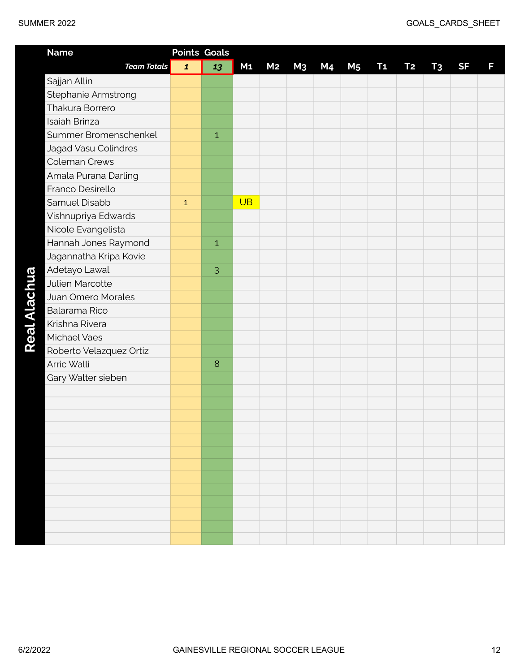| <b>Name</b>             | <b>Points Goals</b> |              |                |                |                |           |                |           |           |                |           |   |
|-------------------------|---------------------|--------------|----------------|----------------|----------------|-----------|----------------|-----------|-----------|----------------|-----------|---|
| <b>Team Totals</b>      | $\mathbf{1}$        | 13           | M <sub>1</sub> | M <sub>2</sub> | M <sub>3</sub> | <b>M4</b> | M <sub>5</sub> | <b>T1</b> | <b>T2</b> | T <sub>3</sub> | <b>SF</b> | F |
| Sajjan Allin            |                     |              |                |                |                |           |                |           |           |                |           |   |
| Stephanie Armstrong     |                     |              |                |                |                |           |                |           |           |                |           |   |
| Thakura Borrero         |                     |              |                |                |                |           |                |           |           |                |           |   |
| <b>Isaiah Brinza</b>    |                     |              |                |                |                |           |                |           |           |                |           |   |
| Summer Bromenschenkel   |                     | $\mathbf 1$  |                |                |                |           |                |           |           |                |           |   |
| Jagad Vasu Colindres    |                     |              |                |                |                |           |                |           |           |                |           |   |
| <b>Coleman Crews</b>    |                     |              |                |                |                |           |                |           |           |                |           |   |
| Amala Purana Darling    |                     |              |                |                |                |           |                |           |           |                |           |   |
| Franco Desirello        |                     |              |                |                |                |           |                |           |           |                |           |   |
| Samuel Disabb           | $\mathbf{1}$        |              | <b>UB</b>      |                |                |           |                |           |           |                |           |   |
| Vishnupriya Edwards     |                     |              |                |                |                |           |                |           |           |                |           |   |
| Nicole Evangelista      |                     |              |                |                |                |           |                |           |           |                |           |   |
| Hannah Jones Raymond    |                     | $\mathbf{1}$ |                |                |                |           |                |           |           |                |           |   |
| Jagannatha Kripa Kovie  |                     |              |                |                |                |           |                |           |           |                |           |   |
| Adetayo Lawal           |                     | 3            |                |                |                |           |                |           |           |                |           |   |
| Julien Marcotte         |                     |              |                |                |                |           |                |           |           |                |           |   |
| Juan Omero Morales      |                     |              |                |                |                |           |                |           |           |                |           |   |
| Balarama Rico           |                     |              |                |                |                |           |                |           |           |                |           |   |
| Krishna Rivera          |                     |              |                |                |                |           |                |           |           |                |           |   |
| Michael Vaes            |                     |              |                |                |                |           |                |           |           |                |           |   |
| Roberto Velazquez Ortiz |                     |              |                |                |                |           |                |           |           |                |           |   |
| Arric Walli             |                     | 8            |                |                |                |           |                |           |           |                |           |   |
| Gary Walter sieben      |                     |              |                |                |                |           |                |           |           |                |           |   |
|                         |                     |              |                |                |                |           |                |           |           |                |           |   |
|                         |                     |              |                |                |                |           |                |           |           |                |           |   |
|                         |                     |              |                |                |                |           |                |           |           |                |           |   |
|                         |                     |              |                |                |                |           |                |           |           |                |           |   |
|                         |                     |              |                |                |                |           |                |           |           |                |           |   |
|                         |                     |              |                |                |                |           |                |           |           |                |           |   |
|                         |                     |              |                |                |                |           |                |           |           |                |           |   |
|                         |                     |              |                |                |                |           |                |           |           |                |           |   |
|                         |                     |              |                |                |                |           |                |           |           |                |           |   |
|                         |                     |              |                |                |                |           |                |           |           |                |           |   |
|                         |                     |              |                |                |                |           |                |           |           |                |           |   |
|                         |                     |              |                |                |                |           |                |           |           |                |           |   |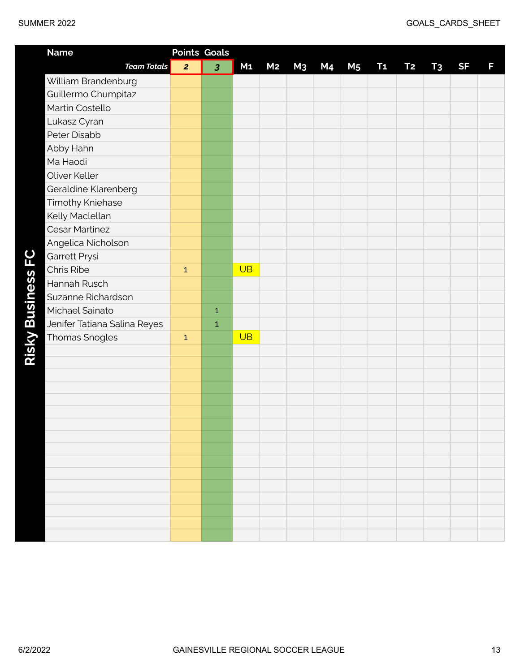| <b>Name</b>                  |                | <b>Points Goals</b>     |                |                |                |    |                |                |           |                |           |   |
|------------------------------|----------------|-------------------------|----------------|----------------|----------------|----|----------------|----------------|-----------|----------------|-----------|---|
| <b>Team Totals</b>           | $\overline{2}$ | $\overline{\mathbf{3}}$ | M <sub>1</sub> | M <sub>2</sub> | M <sub>3</sub> | M4 | M <sub>5</sub> | T <sub>1</sub> | <b>T2</b> | T <sub>3</sub> | <b>SF</b> | F |
| William Brandenburg          |                |                         |                |                |                |    |                |                |           |                |           |   |
| Guillermo Chumpitaz          |                |                         |                |                |                |    |                |                |           |                |           |   |
| Martin Costello              |                |                         |                |                |                |    |                |                |           |                |           |   |
| Lukasz Cyran                 |                |                         |                |                |                |    |                |                |           |                |           |   |
| Peter Disabb                 |                |                         |                |                |                |    |                |                |           |                |           |   |
| Abby Hahn                    |                |                         |                |                |                |    |                |                |           |                |           |   |
| Ma Haodi                     |                |                         |                |                |                |    |                |                |           |                |           |   |
| Oliver Keller                |                |                         |                |                |                |    |                |                |           |                |           |   |
| Geraldine Klarenberg         |                |                         |                |                |                |    |                |                |           |                |           |   |
| <b>Timothy Kniehase</b>      |                |                         |                |                |                |    |                |                |           |                |           |   |
| Kelly Maclellan              |                |                         |                |                |                |    |                |                |           |                |           |   |
| <b>Cesar Martinez</b>        |                |                         |                |                |                |    |                |                |           |                |           |   |
| Angelica Nicholson           |                |                         |                |                |                |    |                |                |           |                |           |   |
| Garrett Prysi                |                |                         |                |                |                |    |                |                |           |                |           |   |
| Chris Ribe                   | $\mathbf{1}$   |                         | <b>UB</b>      |                |                |    |                |                |           |                |           |   |
| Hannah Rusch                 |                |                         |                |                |                |    |                |                |           |                |           |   |
| Suzanne Richardson           |                |                         |                |                |                |    |                |                |           |                |           |   |
| Michael Sainato              |                | $\mathbf 1$             |                |                |                |    |                |                |           |                |           |   |
| Jenifer Tatiana Salina Reyes |                | $\mathbf 1$             |                |                |                |    |                |                |           |                |           |   |
| Thomas Snogles               | $\mathbf{1}$   |                         | <b>UB</b>      |                |                |    |                |                |           |                |           |   |
|                              |                |                         |                |                |                |    |                |                |           |                |           |   |
|                              |                |                         |                |                |                |    |                |                |           |                |           |   |
|                              |                |                         |                |                |                |    |                |                |           |                |           |   |
|                              |                |                         |                |                |                |    |                |                |           |                |           |   |
|                              |                |                         |                |                |                |    |                |                |           |                |           |   |
|                              |                |                         |                |                |                |    |                |                |           |                |           |   |
|                              |                |                         |                |                |                |    |                |                |           |                |           |   |
|                              |                |                         |                |                |                |    |                |                |           |                |           |   |
|                              |                |                         |                |                |                |    |                |                |           |                |           |   |
|                              |                |                         |                |                |                |    |                |                |           |                |           |   |
|                              |                |                         |                |                |                |    |                |                |           |                |           |   |
|                              |                |                         |                |                |                |    |                |                |           |                |           |   |
|                              |                |                         |                |                |                |    |                |                |           |                |           |   |
|                              |                |                         |                |                |                |    |                |                |           |                |           |   |
|                              |                |                         |                |                |                |    |                |                |           |                |           |   |